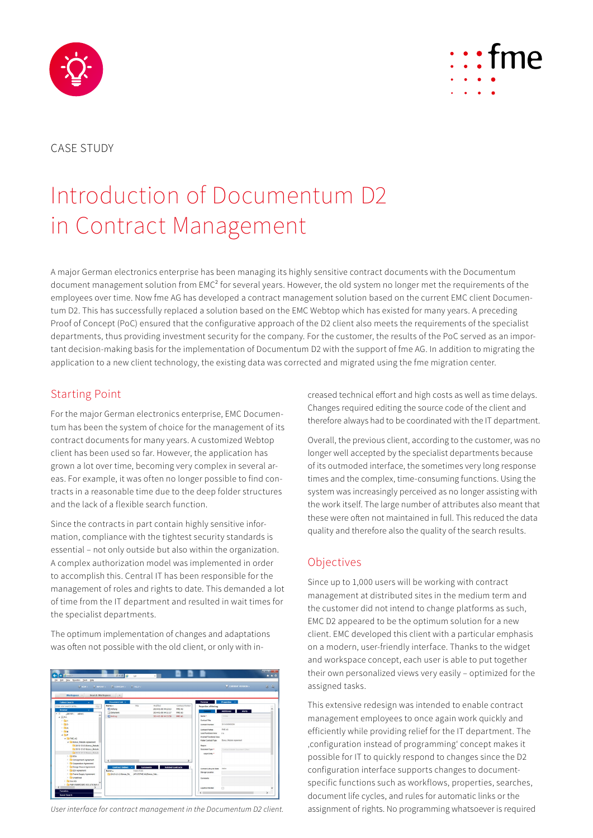



#### CASE STUDY

# Introduction of Documentum D2 in Contract Management

A major German electronics enterprise has been managing its highly sensitive contract documents with the Documentum document management solution from EMC² for several years. However, the old system no longer met the requirements of the employees over time. Now fme AG has developed a contract management solution based on the current EMC client Documentum D2. This has successfully replaced a solution based on the EMC Webtop which has existed for many years. A preceding Proof of Concept (PoC) ensured that the configurative approach of the D2 client also meets the requirements of the specialist departments, thus providing investment security for the company. For the customer, the results of the PoC served as an important decision-making basis for the implementation of Documentum D2 with the support of fme AG. In addition to migrating the application to a new client technology, the existing data was corrected and migrated using the fme migration center.

## Starting Point

For the major German electronics enterprise, EMC Documentum has been the system of choice for the management of its contract documents for many years. A customized Webtop client has been used so far. However, the application has grown a lot over time, becoming very complex in several areas. For example, it was often no longer possible to find contracts in a reasonable time due to the deep folder structures and the lack of a flexible search function.

Since the contracts in part contain highly sensitive information, compliance with the tightest security standards is essential – not only outside but also within the organization. A complex authorization model was implemented in order to accomplish this. Central IT has been responsible for the management of roles and rights to date. This demanded a lot of time from the IT department and resulted in wait times for the specialist departments.

The optimum implementation of changes and adaptations was often not possible with the old client, or only with in-



*User interface for contract management in the Documentum D2 client.*

creased technical effort and high costs as well as time delays. Changes required editing the source code of the client and therefore always had to be coordinated with the IT department.

Overall, the previous client, according to the customer, was no longer well accepted by the specialist departments because of its outmoded interface, the sometimes very long response times and the complex, time-consuming functions. Using the system was increasingly perceived as no longer assisting with the work itself. The large number of attributes also meant that these were often not maintained in full. This reduced the data quality and therefore also the quality of the search results.

## Objectives

Since up to 1,000 users will be working with contract management at distributed sites in the medium term and the customer did not intend to change platforms as such, EMC D2 appeared to be the optimum solution for a new client. EMC developed this client with a particular emphasis on a modern, user-friendly interface. Thanks to the widget and workspace concept, each user is able to put together their own personalized views very easily – optimized for the assigned tasks.

This extensive redesign was intended to enable contract management employees to once again work quickly and efficiently while providing relief for the IT department. The 'configuration instead of programming' concept makes it possible for IT to quickly respond to changes since the D2 configuration interface supports changes to documentspecific functions such as workflows, properties, searches, document life cycles, and rules for automatic links or the assignment of rights. No programming whatsoever is required